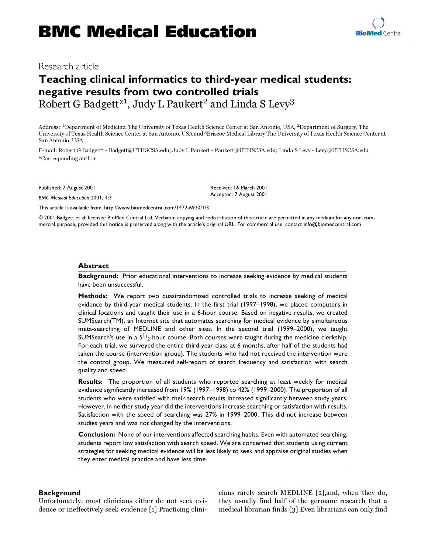# Research article

# **Teaching clinical informatics to third-year medical students: negative results from two controlled trials** Robert G Badgett<sup>\*1</sup>, Judy L Paukert<sup>2</sup> and Linda S Levy<sup>3</sup>

Address: <sup>1</sup>Department of Medicine, The University of Texas Health Science Center at San Antonio, USA, <sup>2</sup>Department of Surgery, The University of Texas Health Science Center at San Antonio, USA and 3Briscoe Medical Library The University of Texas Health Science Center at San Antonio, USA

E-mail: Robert G Badgett\* - Badgett@UTHSCSA.edu; Judy L Paukert - Paukert@UTHSCSA.edu; Linda S Levy - Levy@UTHSCSA.edu \*Corresponding author

Published: 7 August 2001

*BMC Medical Education* 2001, **1**:3

Received: 16 March 2001 Accepted: 7 August 2001

[This article is available from: http://www.biomedcentral.com/1472-6920/1/3](http://www.biomedcentral.com/1472-6920/1/3)

© 2001 Badgett et al; licensee BioMed Central Ltd. Verbatim copying and redistribution of this article are permitted in any medium for any non-commercial purpose, provided this notice is preserved along with the article's original URL. For commercial use, contact info@biomedcentral.com

#### **Abstract**

**Background:** Prior educational interventions to increase seeking evidence by medical students have been unsuccessful.

**Methods:** We report two quasirandomized controlled trials to increase seeking of medical evidence by third-year medical students. In the first trial (1997–1998), we placed computers in clinical locations and taught their use in a 6-hour course. Based on negative results, we created SUMSearch(TM), an Internet site that automates searching for medical evidence by simultaneous meta-searching of MEDLINE and other sites. In the second trial (1999–2000), we taught SUMSearch's use in a  $5^{1}/_{2}$ -hour course. Both courses were taught during the medicine clerkship. For each trial, we surveyed the entire third-year class at 6 months, after half of the students had taken the course (intervention group). The students who had not received the intervention were the control group. We measured self-report of search frequency and satisfaction with search quality and speed.

**Results:** The proportion of all students who reported searching at least weekly for medical evidence significantly increased from 19% (1997–1998) to 42% (1999–2000). The proportion of all students who were satisfied with their search results increased significantly between study years. However, in neither study year did the interventions increase searching or satisfaction with results. Satisfaction with the speed of searching was 27% in 1999–2000. This did not increase between studies years and was not changed by the interventions.

**Conclusion:** None of our interventions affected searching habits. Even with automated searching, students report low satisfaction with search speed. We are concerned that students using current strategies for seeking medical evidence will be less likely to seek and appraise original studies when they enter medical practice and have less time.

### **Background**

Unfortunately, most clinicians either do not seek evidence or ineffectively seek evidence [[1](#page-5-0)].Practicing clinicians rarely search MEDLINE [\[2\]](#page-5-1),and, when they do, they usually find half of the germane research that a medical librarian finds [[3](#page-5-2)].Even librarians can only find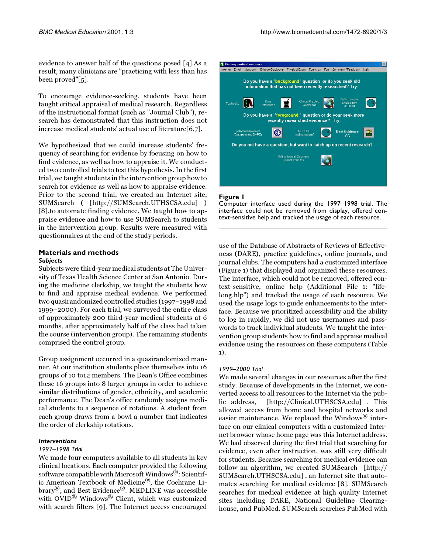evidence to answer half of the questions posed [[4](#page-5-3)].As a result, many clinicians are "practicing with less than has been proved"[[5\]](#page-5-4).

To encourage evidence-seeking, students have been taught critical appraisal of medical research. Regardless of the instructional format (such as "Journal Club"), research has demonstrated that this instruction does not increase medical students' actual use of literature[\[6](#page-5-5)[,7](#page-5-6)].

[We hypothesized that we could increase students' fre](http://SUMSearch.UTHSCSA.edu)quency of searching for evidence by focusing on how to find evidence, as well as how to appraise it. We conducted two controlled trials to test this hypothesis. In the first trial, we taught students in the intervention group how to search for evidence as well as how to appraise evidence. Prior to the second trial, we created an Internet site, SUMSearch ( [http://SUMSearch.UTHSCSA.edu] ) [[8\]](#page-6-0),to automate finding evidence. We taught how to appraise evidence and how to use SUMSearch to students in the intervention group. Results were measured with questionnaires at the end of the study periods.

## **Materials and methods** *Subjects*

Subjects were third-year medical students at The University of Texas Health Science Center at San Antonio. During the medicine clerkship, we taught the students how to find and appraise medical evidence. We performed two quasirandomized controlled studies (1997–1998 and 199[9–2000\). For each trial, we surveyed the entire class](http://SUMSearch.UTHSCSA.edu) of approximately 200 third-year medical students at 6 months, after approximately half of the class had taken the course (intervention group). The remaining students comprised the control group.

Group assignment occurred in a quasirandomized manner. At our institution students place themselves into 16 groups of 10 to12 members. The Dean's Office combines these 16 groups into 8 larger groups in order to achieve similar distributions of gender, ethnicity, and academic performance. The Dean's office randomly assigns medical students to a sequence of rotations. A student from each group draws from a bowl a number that indicates the order of clerkship rotations.

### *Interventions*

### *1997–1998 Trial*

<span id="page-1-1"></span>We made four computers available to all students in key clinical locations. Each computer provided the following software compatible with Microsoft Windows®: Scientific American Textbook of Medicine®, the Cochrane Library®, and Best Evidence®. MEDLINE was accessible with  $\rm OVID^{(8)}$  Windows<sup>(8)</sup> Client, which was customized with search filters [[9](#page-6-1)]. The Internet access encouraged

|           |       | <b>Finding medical evidence</b>           |                                                         |                                              |                                        |     |                                                                      |      | $\boldsymbol{\mathsf{x}}$ |
|-----------|-------|-------------------------------------------|---------------------------------------------------------|----------------------------------------------|----------------------------------------|-----|----------------------------------------------------------------------|------|---------------------------|
| Internet  | Email | Handouts                                  | <b>Briscoe Catalogue</b>                                | Physical Exam                                | Formulas                               | Fun | Comments/Feedback                                                    | Help |                           |
|           |       |                                           | information that has not been recently researched? Try: |                                              |                                        |     | Do you have a 'background' question or do you seek old               |      |                           |
| Textbooks |       |                                           | Drug<br>references                                      |                                              | <b>Clinical Practice</b><br>Guidelines |     | Fulltext review<br>articles from<br><b>MEDLINE</b>                   |      |                           |
|           |       |                                           |                                                         | recently researched evidence? Try:           |                                        |     | Do you have a 'foreground' question or do your seek more             |      |                           |
|           |       | Systematic Reviews<br>(Cochrane and DARE) |                                                         | <b>MEDLINE</b><br>(using hedges)             |                                        |     | <b>Best Evidence</b><br>CD                                           |      |                           |
|           |       |                                           |                                                         |                                              |                                        |     | Do you not have a question, but want to catch up on recent research? |      |                           |
|           |       |                                           |                                                         | Online Journal Clubs and<br>journal websites |                                        |     |                                                                      |      |                           |
|           |       |                                           |                                                         |                                              |                                        |     |                                                                      |      |                           |

## <span id="page-1-0"></span>**Figure 1**

Computer interface used during the 1997–1998 trial. The interface could not be removed from display, offered context-sensitive help and tracked the usage of each resource.

use of the Database of Abstracts of Reviews of Effectiveness (DARE), practice guidelines, online journals, and journal clubs. The computers had a customized interface (Figure [1](#page-1-0)) that displayed and organized these resources. The interface, which could not be removed, offered context-sensitive, online help (Additional File 1: "lifelong.hlp") and tracked the usage of each resource. We used the usage logs to guide enhancements to the interface. Because we prioritized accessibility and the ability to log in rapidly, we did not use usernames and passwords to track individual students. We taught the intervention group students how to find and appraise medical evidence using the resources on these computers (Table [1](#page-1-1)).

## *1999–2000 Trial*

[We made several changes in our resources after the first](http://Clinical.UTHSCSA.edu) study. Because of developments in the Internet, we converted access to all resources to the Internet via the public address, [http://Clinical.UTHSCSA.edu] . This allowed access from home and hospital networks and [easier maintenance. We replaced the Windows](http://Clinical.UTHSCSA.edu) $^{\circledR}$  [inter](http://SUMSearch.UTHSCSA.edu)face on our clinical computers with a customized Internet browser whose home page was this Internet address. We had observed during the first trial that searching for evidence, even after instruction, was still very difficult for students. Because searching for medical evidence can follow an algorithm, we created SUMSearch [http:// SUMSearch.UTHSCSA.edu] , an Internet site that automates searching for medical evidence [\[8\]](#page-6-0). SUMSearch searches for medical evidence at high quality Internet sites including DARE, National Guideline Clearing[house, and PubMed. SUMSearch searches PubMed with](http://SUMSearch.UTHSCSA.edu)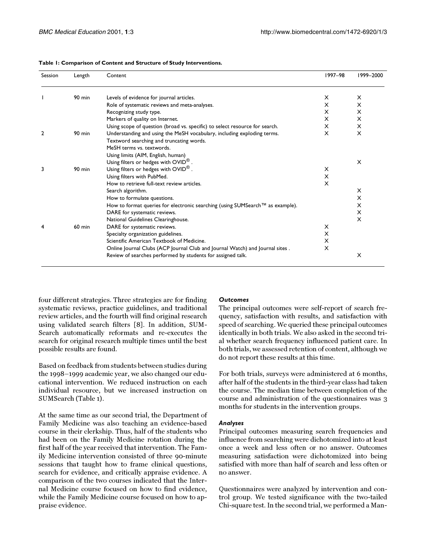| Session        | Length        | Content                                                                       | 1997-98  | 1999-2000 |
|----------------|---------------|-------------------------------------------------------------------------------|----------|-----------|
|                | <b>90 min</b> | Levels of evidence for journal articles.                                      | X        | X         |
|                |               | Role of systematic reviews and meta-analyses.                                 | X        | X         |
|                |               | Recognizing study type.                                                       | X        | X         |
|                |               | Markers of quality on Internet.                                               | X        | X         |
|                |               | Using scope of question (broad vs. specific) to select resource for search.   | X        | X         |
| $\mathbf{2}$   | $90$ min      | Understanding and using the MeSH vocabulary, including exploding terms.       | X        | X         |
|                |               | Textword searching and truncating words.                                      |          |           |
|                |               | MeSH terms vs. textwords.                                                     |          |           |
|                |               | Using limits (AIM, English, human)                                            |          |           |
|                |               | Using filters or hedges with $OVID^{\circledR}$ .                             |          | X         |
| 3              | $90$ min      | Using filters or hedges with $OVID^@$ .                                       | $\times$ |           |
|                |               | Using filters with PubMed.                                                    | X        |           |
|                |               | How to retrieve full-text review articles.                                    | X        |           |
|                |               | Search algorithm.                                                             |          | X         |
|                |               | How to formulate questions.                                                   |          | X         |
|                |               | How to format queries for electronic searching (using SUMSearch™ as example). |          | X         |
|                |               | DARE for systematic reviews.                                                  |          | X         |
|                |               | National Guidelines Clearinghouse.                                            |          | X         |
| $\overline{4}$ | <b>60 min</b> | DARE for systematic reviews.                                                  | X        |           |
|                |               | Specialty organization guidelines.                                            | X        |           |
|                |               | Scientific American Textbook of Medicine.                                     | X        |           |
|                |               | Online Journal Clubs (ACP Journal Club and Journal Watch) and Journal sites.  | X        |           |
|                |               | Review of searches performed by students for assigned talk.                   |          | X         |

#### **Table 1: Comparison of Content and Structure of Study Interventions.**

four different strategies. Three strategies are for finding [systematic reviews, practice guidelines, and traditional](http://SUMSearch.UTHSCSA.edu) review articles, and the fourth will find original research using validated search filters [\[8\]](#page-6-0). In addition, SUM-Search automatically reformats and re-executes the search for original research multiple times until the best possible results are found.

Based on feedback from students between studies during the 1998–1999 academic year, we also changed our educational intervention. We reduced instruction on each individual resource, but we increased instruction on SUMSearch (Table [1\)](#page-1-1).

At the same time as our second trial, the Department of Family Medicine was also teaching an evidence-based course in their clerkship. Thus, half of the students who had been on the Family Medicine rotation during the first half of the year received that intervention. The Family Medicine intervention consisted of three 90-minute sessions that taught how to frame clinical questions, search for evidence, and critically appraise evidence. A comparison of the two courses indicated that the Internal Medicine course focused on how to find evidence, while the Family Medicine course focused on how to appraise evidence.

## *Outcomes*

The principal outcomes were self-report of search frequency, satisfaction with results, and satisfaction with speed of searching. We queried these principal outcomes identically in both trials. We also asked in the second trial whether search frequency influenced patient care. In both trials, we assessed retention of content, although we do not report these results at this time.

For both trials, surveys were administered at 6 months, after half of the students in the third-year class had taken the course. The median time between completion of the course and administration of the questionnaires was 3 months for students in the intervention groups.

### *Analyses*

Principal outcomes measuring search frequencies and influence from searching were dichotomized into at least once a week and less often or no answer. Outcomes measuring satisfaction were dichotomized into being satisfied with more than half of search and less often or no answer.

<span id="page-2-0"></span>[Questionnaires were analyzed by intervention and con](http://SUMSearch.UTHSCSA.edu)trol group. We tested significance with the two-tailed Chi-square test. In the second trial, we performed a Man-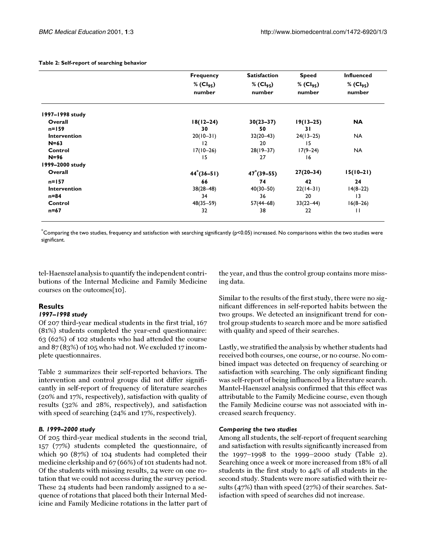|                     | <b>Frequency</b>        | <b>Satisfaction</b>   | <b>Speed</b>            | <b>Influenced</b>       |  |
|---------------------|-------------------------|-----------------------|-------------------------|-------------------------|--|
|                     | $%$ (Cl <sub>95</sub> ) | % $(Cl_{95})$         | $%$ (Cl <sub>95</sub> ) | $%$ (Cl <sub>95</sub> ) |  |
|                     | number                  | number                | number                  | number                  |  |
| 1997-1998 study     |                         |                       |                         |                         |  |
| Overall             | $18(12 - 24)$           | $30(23 - 37)$         | $19(13 - 25)$           | <b>NA</b>               |  |
| $n = 159$           | 30                      | 50                    | 31                      |                         |  |
| Intervention        | $20(10-31)$             | $32(20-43)$           | $24(13-25)$             | <b>NA</b>               |  |
| $N=63$              | 12                      | 20                    | 15                      |                         |  |
| Control             | $17(10-26)$             | $28(19 - 37)$         | $17(9 - 24)$            | <b>NA</b>               |  |
| $N=96$              | 15                      | 27                    | 16                      |                         |  |
| 1999-2000 study     |                         |                       |                         |                         |  |
| Overall             | $44^*(36 - 51)$         | $47^{\circ}(39 - 55)$ | $27(20-34)$             | $15(10-21)$             |  |
| $n=157$             | 66                      | 74                    | 42                      | 24                      |  |
| <b>Intervention</b> | $38(28 - 48)$           | $40(30 - 50)$         | $22(14-31)$             | $14(8-22)$              |  |
| $n = 84$            | 34                      | 36                    | 20                      | $\overline{13}$         |  |
| Control             | $48(35 - 59)$           | $57(44 - 68)$         | $33(22 - 44)$           | $16(8-26)$              |  |
| $n = 67$            | 32                      | 38                    | 22                      | $\mathbf{H}$            |  |

#### **Table 2: Self-report of searching behavior**

 $\rm^*$ Comparing the two studies, frequency and satisfaction with searching significantly (p<0.05) increased. No comparisons within the two studies were significant.

tel-Haenszel analysis to quantify the independent contributions of the Internal Medicine and Family Medicine courses on the outcomes[\[10](#page-6-2)].

#### **Results**

## *1997–1998 study*

Of 207 third-year medical students in the first trial, 167 (81%) students completed the year-end questionnaire: 63 (62%) of 102 students who had attended the course and 87 (83%) of 105 who had not. We excluded 17 incomplete questionnaires.

Table [2](#page-2-0) summarizes their self-reported behaviors. The intervention and control groups did not differ significantly in self-report of frequency of literature searches (20% and 17%, respectively), satisfaction with quality of results (32% and 28%, respectively), and satisfaction with speed of searching (24% and 17%, respectively).

#### *B. 1999–2000 study*

Of 205 third-year medical students in the second trial, 157 (77%) students completed the questionnaire, of which 90 (87%) of 104 students had completed their medicine clerkship and 67 (66%) of 101 students had not. Of the students with missing results, 24 were on one rotation that we could not access during the survey period. These 24 students had been randomly assigned to a sequence of rotations that placed both their Internal Medicine and Family Medicine rotations in the latter part of

the year, and thus the control group contains more missing data.

Similar to the results of the first study, there were no significant differences in self-reported habits between the two groups. We detected an insignificant trend for control group students to search more and be more satisfied with quality and speed of their searches.

Lastly, we stratified the analysis by whether students had received both courses, one course, or no course. No combined impact was detected on frequency of searching or satisfaction with searching. The only significant finding was self-report of being influenced by a literature search. Mantel-Haenszel analysis confirmed that this effect was attributable to the Family Medicine course, even though the Family Medicine course was not associated with increased search frequency.

#### *Comparing the two studies*

Among all students, the self-report of frequent searching and satisfaction with results significantly increased from the 1997–1998 to the 1999–2000 study (Table [2\)](#page-2-0). Searching once a week or more increased from 18% of all students in the first study to 44% of all students in the second study. Students were more satisfied with their results (47%) than with speed (27%) of their searches. Satisfaction with speed of searches did not increase.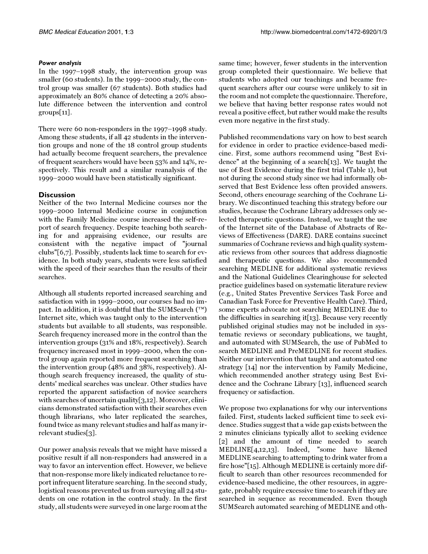#### *Power analysis*

In the 1997–1998 study, the intervention group was smaller (60 students). In the 1999–2000 study, the control group was smaller (67 students). Both studies had approximately an 80% chance of detecting a 20% absolute difference between the intervention and control groups[\[11\]](#page-6-3).

There were 60 non-responders in the 1997–1998 study. Among these students, if all 42 students in the intervention groups and none of the 18 control group students had actually become frequent searchers, the prevalence of frequent searchers would have been 53% and 14%, respectively. This result and a similar reanalysis of the 1999–2000 would have been statistically significant.

#### **Discussion**

Neither of the two Internal Medicine courses nor the 1999–2000 Internal Medicine course in conjunction with the Family Medicine course increased the self-report of search frequency. Despite teaching both searching for and appraising evidence, our results are consistent with the negative impact of "journal clubs"[\[6](#page-5-5)[,7](#page-5-6)]. Possibly, students lack time to search for evidence. In both study years, students were less satisfied with the speed of their searches than the results of their searches.

Although all students reported increased searching and satisfaction with in 1999–2000, our courses had no impact. In addition, it is doubtful that the SUMSearch (™) Internet site, which was taught only to the intervention students but available to all students, was responsible. Search frequency increased more in the control than the intervention groups (31% and 18%, respectively). Search frequency increased most in 1999–2000, when the control group again reported more frequent searching than the intervention group (48% and 38%, respectively). Although search frequency increased, the quality of students' medical searches was unclear. Other studies have reported the apparent satisfaction of novice searchers with searches of uncertain quality[[3](#page-5-2),[12](#page-6-4)]. Moreover, clinicians demonstrated satisfaction with their searches even though librarians, who later replicated the searches, found twice as many relevant studies and half as many irrelevant studies[[3](#page-5-2)].

Our power analysis reveals that we might have missed a positive result if all non-responders had answered in a way to favor an intervention effect. However, we believe that non-response more likely indicated reluctance to report infrequent literature searching. In the second study, logistical reasons prevented us from surveying all 24 students on one rotation in the control study. In the first study, all students were surveyed in one large room at the same time; however, fewer students in the intervention group completed their questionnaire. We believe that students who adopted our teachings and became frequent searchers after our course were unlikely to sit in the room and not complete the questionnaire. Therefore, we believe that having better response rates would not reveal a positive effect, but rather would make the results even more negative in the first study.

Published recommendations vary on how to best search for evidence in order to practice evidence-based medicine. First, some authors recommend using "Best Evidence" at the beginning of a search[\[13\]](#page-6-5). We taught the use of Best Evidence during the first trial (Table [1](#page-1-1)), but not during the second study since we had informally observed that Best Evidence less often provided answers. Second, others encourage searching of the Cochrane Library. We discontinued teaching this strategy before our studies, because the Cochrane Library addresses only selected therapeutic questions. Instead, we taught the use of the Internet site of the Database of Abstracts of Reviews of Effectiveness (DARE). DARE contains succinct summaries of Cochrane reviews and high quality systematic reviews from other sources that address diagnostic and therapeutic questions. We also recommended searching MEDLINE for additional systematic reviews and the National Guidelines Clearinghouse for selected practice guidelines based on systematic literature review (e.g., United States Preventive Services Task Force and Canadian Task Force for Preventive Health Care). Third, some experts advocate not searching MEDLINE due to the difficulties in searching it[[13](#page-6-5)]. Because very recently published original studies may not be included in systematic reviews or secondary publications, we taught, and automated with SUMSearch, the use of PubMed to search MEDLINE and PreMEDLINE for recent studies. Neither our intervention that taught and automated one strategy [[14](#page-6-6)] nor the intervention by Family Medicine, which recommended another strategy using Best Evidence and the Cochrane Library [\[13\]](#page-6-5), influenced search frequency or satisfaction.

We propose two explanations for why our interventions failed. First, students lacked sufficient time to seek evidence. Studies suggest that a wide gap exists between the 2 minutes clinicians typically allot to seeking evidence [[2](#page-5-1)] and the amount of time needed to search MEDLINE[[4](#page-5-3)[,12](#page-6-4)[,13\]](#page-6-5). Indeed, "some have likened MEDLINE searching to attempting to drink water from a fire hose"[\[15\]](#page-6-7). Although MEDLINE is certainly more difficult to search than other resources recommended for evidence-based medicine, the other resources, in aggregate, probably require excessive time to search if they are searched in sequence as recommended. Even though SUMSearch automated searching of MEDLINE and oth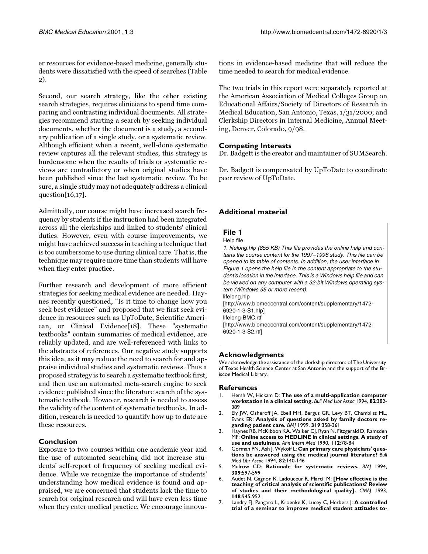er resources for evidence-based medicine, generally students were dissatisfied with the speed of searches (Table [2](#page-2-0)).

Second, our search strategy, like the other existing search strategies, requires clinicians to spend time comparing and contrasting individual documents. All strategies recommend starting a search by seeking individual documents, whether the document is a study, a secondary publication of a single study, or a systematic review. Although efficient when a recent, well-done systematic review captures all the relevant studies, this strategy is burdensome when the results of trials or systematic reviews are contradictory or when original studies have been published since the last systematic review. To be sure, a single study may not adequately address a clinical question[\[16](#page-6-8)[,17](#page-6-9)].

Admittedly, our course might have increased search frequency by students if the instruction had been integrated across all the clerkships and linked to students' clinical duties. However, even with course improvements, we might have achieved success in teaching a technique that is too cumbersome to use during clinical care. That is, the technique may require more time than students will have when they enter practice.

Further research and development of more efficient strategies for seeking medical evidence are needed. Haynes recently questioned, "Is it time to change how you seek best evidence" and proposed that we first seek evidence in resources such as UpToDate, Scientific American, or Clinical Evidence[\[18](#page-6-10)]. These "systematic textbooks" contain summaries of medical evidence, are reliably updated, and are well-referenced with links to the abstracts of references. Our negative study supports this idea, as it may reduce the need to search for and appraise individual studies and systematic reviews. Thus a proposed strategy is to search a systematic textbook first, and then use an automated meta-search engine to seek evidence published since the literature search of the systematic textbook. However, research is needed to assess the validity of the content of systematic textbooks. In addition, research is needed to quantify how up to date are these resources.

## **Conclusion**

Exposure to two courses within one academic year and the use of automated searching did not increase students' self-report of frequency of seeking medical evidence. While we recognize the importance of students' understanding how medical evidence is found and appraised, we are concerned that students lack the time to search for original research and will have even less time when they enter medical practice. We encourage innovations in evidence-based medicine that will reduce the time needed to search for medical evidence.

The two trials in this report were separately reported at the American Association of Medical Colleges Group on Educational Affairs/Society of Directors of Research in Medical Education, San Antonio, Texas, 1/31/2000; and Clerkship Directors in Internal Medicine, Annual Meeting, Denver, Colorado, 9/98.

## **Competing Interests**

Dr. Badgett is the creator and maintainer of SUMSearch.

Dr. Badgett is compensated by UpToDate to coordinate peer review of UpToDate.

## **Additional material**

## **File 1**

Help file *1. lifelong.hlp (855 KB) This file provides the online help and contains the course content for the 1997–1998 study. This file can be opened to its table of contents. In addition, the user interface in Figure 1 opens the help file in the content appropriate to the student's location in the interface. This is a Windows help file and can be viewed on any computer with a 32-bit Windows operating system (Windows 95 or more recent).*  [lifelong.hlp](http://www.biomedcentral.com/content/supplementary/1472-6920-1-3-S1.hlp) [\[http://www.biomedcentral.com/content/supplementary/1472-](http://www.biomedcentral.com/content/supplementary/1472-6920-1-3-S1.hlp) 6920-1-3-S1.hlp] [lifelong-BMC.rtf](http://www.biomedcentral.com/content/supplementary/1472-6920-1-3-S2.rtf) [\[http://www.biomedcentral.com/content/supplementary/1472-](http://www.biomedcentral.com/content/supplementary/1472-6920-1-3-S2.rtf) 6920-1-3-S2.rtf]

### **Acknowledgments**

We acknowledge the assistance of the clerkship directors of The University of Texas Health Science Center at San Antonio and the support of the Briscoe Medical Library.

### **References**

- <span id="page-5-0"></span>1. [Hersh W, Hickam D:](http://www.ncbi.nlm.nih.gov/entrez/query.fcgi?cmd=Retrieve&db=PubMed&dopt=Abstract&list_uids=7841907) **The use of a multi-application computer workstation in a clinical setting.** *Bull Med Libr Assoc* 1994, **82**:382- 389
- <span id="page-5-1"></span>2. [Ely JW, Osheroff JA, Ebell MH, Bergus GR, Levy BT, Chambliss ML,](http://www.ncbi.nlm.nih.gov/entrez/query.fcgi?cmd=Retrieve&db=PubMed&dopt=Abstract&list_uids=10435959) [Evans ER:](http://www.ncbi.nlm.nih.gov/entrez/query.fcgi?cmd=Retrieve&db=PubMed&dopt=Abstract&list_uids=10435959) **Analysis of questions asked by family doctors regarding patient care.** *BMJ* 1999, **319**:358-361
- <span id="page-5-2"></span>3. [Haynes RB, McKibbon KA, Walker CJ, Ryan N, Fitzgerald D, Ramsden](http://www.ncbi.nlm.nih.gov/entrez/query.fcgi?cmd=Retrieve&db=PubMed&dopt=Abstract&list_uids=2403476) [MF:](http://www.ncbi.nlm.nih.gov/entrez/query.fcgi?cmd=Retrieve&db=PubMed&dopt=Abstract&list_uids=2403476) **Online access to MEDLINE in clinical settings. A study of use and usefulness.** *Ann Intern Med* 1990, **112**:78-84
- <span id="page-5-3"></span>4. [Gorman PN, Ash J, Wykoff L:](http://www.ncbi.nlm.nih.gov/entrez/query.fcgi?cmd=Retrieve&db=PubMed&dopt=Abstract&list_uids=7772099) **Can primary care physicians' questions be answered using the medical journal literature?** *Bull Med Libr Assoc* 1994, **82**:140-146
- <span id="page-5-4"></span>5. [Mulrow CD:](http://www.ncbi.nlm.nih.gov/entrez/query.fcgi?cmd=Retrieve&db=PubMed&dopt=Abstract&list_uids=8086953) **Rationale for systematic reviews.** *BMJ* 1994, **309**:597-599
- <span id="page-5-5"></span>6. [Audet N, Gagnon R, Ladouceur R, Marcil M:](http://www.ncbi.nlm.nih.gov/entrez/query.fcgi?cmd=Retrieve&db=PubMed&dopt=Abstract&list_uids=8448709) **[How effective is the teaching of critical analysis of scientific publications? Review of studies and their methodological quality].** *CMAJ* 1993, **148**:945-952
- <span id="page-5-6"></span>7. [Landry FJ, Pangaro L, Kroenke K, Lucey C, Herbers J:](http://www.ncbi.nlm.nih.gov/entrez/query.fcgi?cmd=Retrieve&db=PubMed&dopt=Abstract&list_uids=7965237) **A controlled trial of a seminar to improve medical student attitudes to-**